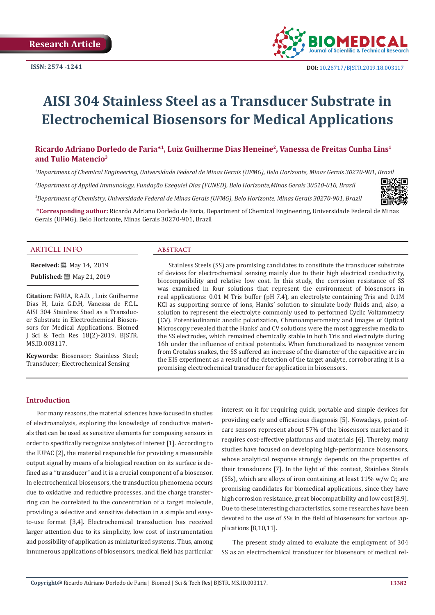

# **AISI 304 Stainless Steel as a Transducer Substrate in Electrochemical Biosensors for Medical Applications**

# **Ricardo Adriano Dorledo de Faria\*1, Luiz Guilherme Dias Heneine2, Vanessa de Freitas Cunha Lins1 and Tulio Matencio3**

*1 Department of Chemical Engineering, Universidade Federal de Minas Gerais (UFMG), Belo Horizonte, Minas Gerais 30270-901, Brazil*

*2 Department of Applied Immunology, Fundação Ezequiel Dias (FUNED), Belo Horizonte,Minas Gerais 30510-010, Brazil*

*3 Department of Chemistry, Universidade Federal de Minas Gerais (UFMG), Belo Horizonte, Minas Gerais 30270-901, Brazil*



**\*Corresponding author:** Ricardo Adriano Dorledo de Faria, Department of Chemical Engineering, Universidade Federal de Minas Gerais (UFMG), Belo Horizonte, Minas Gerais 30270-901, Brazil

# **ARTICLE INFO abstract**

**Received:** 圖 May 14, 2019 **Published:** ■ May 21, 2019

**Citation:** FARIA, R.A.D. , Luiz Guilherme Dias H, Luiz G.D.H, Vanessa de F.C.L. AISI 304 Stainless Steel as a Transducer Substrate in Electrochemical Biosensors for Medical Applications. Biomed J Sci & Tech Res 18(2)-2019. BJSTR. MS.ID.003117.

**Keywords:** Biosensor; Stainless Steel; Transducer; Electrochemical Sensing

Stainless Steels (SS) are promising candidates to constitute the transducer substrate of devices for electrochemical sensing mainly due to their high electrical conductivity, biocompatibility and relative low cost. In this study, the corrosion resistance of SS was examined in four solutions that represent the environment of biosensors in real applications: 0.01 M Tris buffer (pH 7.4), an electrolyte containing Tris and 0.1M KCl as supporting source of ions, Hanks' solution to simulate body fluids and, also, a solution to represent the electrolyte commonly used to performed Cyclic Voltammetry (CV). Potentiodinamic anodic polarization, Chronoamperometry and images of Optical Microscopy revealed that the Hanks' and CV solutions were the most aggressive media to the SS electrodes, which remained chemically stable in both Tris and electrolyte during 16h under the influence of critical potentials. When functionalized to recognize venom from Crotalus snakes, the SS suffered an increase of the diameter of the capacitive arc in the EIS experiment as a result of the detection of the target analyte, corroborating it is a promising electrochemical transducer for application in biosensors.

# **Introduction**

For many reasons, the material sciences have focused in studies of electroanalysis, exploring the knowledge of conductive materials that can be used as sensitive elements for composing sensors in order to specifically recognize analytes of interest [1]. According to the IUPAC [2], the material responsible for providing a measurable output signal by means of a biological reaction on its surface is defined as a "transducer" and it is a crucial component of a biosensor. In electrochemical biosensors, the transduction phenomena occurs due to oxidative and reductive processes, and the charge transferring can be correlated to the concentration of a target molecule, providing a selective and sensitive detection in a simple and easyto-use format [3,4]. Electrochemical transduction has received larger attention due to its simplicity, low cost of instrumentation and possibility of application as miniaturized systems. Thus, among innumerous applications of biosensors, medical field has particular interest on it for requiring quick, portable and simple devices for providing early and efficacious diagnosis [5]. Nowadays, point-ofcare sensors represent about 57% of the biosensors market and it requires cost-effective platforms and materials [6]. Thereby, many studies have focused on developing high-performance biosensors, whose analytical response strongly depends on the properties of their transducers [7]. In the light of this context, Stainless Steels (SSs), which are alloys of iron containing at least 11% w/w Cr, are promising candidates for biomedical applications, since they have high corrosion resistance, great biocompatibility and low cost [8,9]. Due to these interesting characteristics, some researches have been devoted to the use of SSs in the field of biosensors for various applications [8,10,11].

The present study aimed to evaluate the employment of 304 SS as an electrochemical transducer for biosensors of medical rel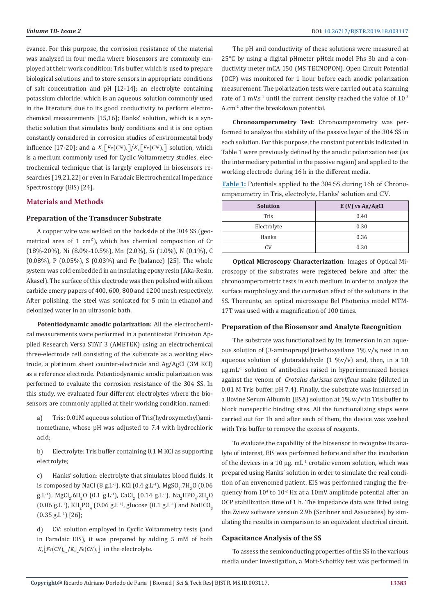evance. For this purpose, the corrosion resistance of the material was analyzed in four media where biosensors are commonly employed at their work condition: Tris buffer, which is used to prepare biological solutions and to store sensors in appropriate conditions of salt concentration and pH [12-14]; an electrolyte containing potassium chloride, which is an aqueous solution commonly used in the literature due to its good conductivity to perform electrochemical measurements [15,16]; Hanks' solution, which is a synthetic solution that simulates body conditions and it is one option constantly considered in corrosion studies of environmental body influence [17-20]; and a  $K_3 \left[ Fe(CN)_6 \right] / K_4 \left[ Fe(CN)_6 \right]$  solution, which is a medium commonly used for Cyclic Voltammetry studies, electrochemical technique that is largely employed in biosensors researches [19,21,22] or even in Faradaic Electrochemical Impedance Spectroscopy (EIS) [24].

# **Materials and Methods**

# **Preparation of the Transducer Substrate**

A copper wire was welded on the backside of the 304 SS (geometrical area of 1  $\text{cm}^2$ ), which has chemical composition of Cr (18%-20%), Ni (8.0%-10.5%), Mn (2.0%), Si (1.0%), N (0.1%), C (0.08%), P (0.05%), S (0.03%) and Fe (balance) [25]. The whole system was cold embedded in an insulating epoxy resin (Aka-Resin, Akasel). The surface of this electrode was then polished with silicon carbide emery papers of 400, 600, 800 and 1200 mesh respectively. After polishing, the steel was sonicated for 5 min in ethanol and deionized water in an ultrasonic bath.

**Potentiodynamic anodic polarization:** All the electrochemical measurements were performed in a potentiostat Princeton Applied Research Versa STAT 3 (AMETEK) using an electrochemical three-electrode cell consisting of the substrate as a working electrode, a platinum sheet counter-electrode and Ag/AgCl (3M KCl) as a reference electrode. Potentiodynamic anodic polarization was performed to evaluate the corrosion resistance of the 304 SS. In this study, we evaluated four different electrolytes where the biosensors are commonly applied at their working condition, named:

a) Tris: 0.01M aqueous solution of Tris(hydroxymethyl)aminomethane, whose pH was adjusted to 7.4 with hydrochloric acid;

b) Electrolyte: Tris buffer containing 0.1 M KCl as supporting electrolyte;

c) Hanks' solution: electrolyte that simulates blood fluids. It is composed by NaCl (8 g.L<sup>-1</sup>), KCl (0.4 g.L<sup>-1</sup>), MgSO<sub>4</sub>.7H<sub>2</sub>O (0.06) g.L<sup>-1</sup>), MgCl<sub>2</sub>.6H<sub>2</sub>O (0.1 g.L<sup>-1</sup>), CaCl<sub>2</sub> (0.14 g.L<sup>-1</sup>), Na<sub>2</sub>HPO<sub>4</sub>.2H<sub>2</sub>O  $(0.06 \text{ g.L-1})$ , KH<sub>2</sub>PO<sub>4</sub> (0.06 g.L<sup>-1</sup>), glucose (0.1 g.L<sup>-1</sup>) and NaHCO<sub>3</sub>  $(0.35$  g.L<sup>-1</sup>) [26];

d) CV: solution employed in Cyclic Voltammetry tests (and in Faradaic EIS), it was prepared by adding 5 mM of both  $K_3 \lceil Fe(CN)_6 \rceil / K_4 \lceil Fe(CN)_6 \rceil$  in the electrolyte.

The pH and conductivity of these solutions were measured at 25°C by using a digital pHmeter pHtek model Phs 3b and a conductivity meter mCA 150 (MS TECNOPON). Open Circuit Potential (OCP) was monitored for 1 hour before each anodic polarization measurement. The polarization tests were carried out at a scanning rate of 1 mV.s<sup>-1</sup> until the current density reached the value of  $10^{-3}$ A.cm-2 after the breakdown potential.

**Chronoamperometry Test**: Chronoamperometry was performed to analyze the stability of the passive layer of the 304 SS in each solution. For this purpose, the constant potentials indicated in Table 1 were previously defined by the anodic polarization test (as the intermediary potential in the passive region) and applied to the working electrode during 16 h in the different media.

**Table 1:** Potentials applied to the 304 SS during 16h of Chronoamperometry in Tris, electrolyte, Hanks' solution and CV.

| <b>Solution</b> | $E(V)$ vs Ag/AgCl |  |
|-----------------|-------------------|--|
| Tris            | 0.40              |  |
| Electrolyte     | 0.30              |  |
| Hanks           | 0.36              |  |
| ΩV              | 0.30              |  |

**Optical Microscopy Characterization**: Images of Optical Microscopy of the substrates were registered before and after the chronoamperometric tests in each medium in order to analyze the surface morphology and the corrosion effect of the solutions in the SS. Thereunto, an optical microscope Bel Photonics model MTM-17T was used with a magnification of 100 times.

### **Preparation of the Biosensor and Analyte Recognition**

The substrate was functionalized by its immersion in an aqueous solution of (3-aminopropyl)triethoxysilane 1% v/v, next in an aqueous solution of glutaraldehyde  $(1 \frac{9}{0}V)(v)$  and, then, in a 10 µg.mL-1 solution of antibodies raised in hyperimmunized horses against the venom of *Crotalus durissus terrificus* snake (diluted in 0.01 M Tris buffer, pH 7.4). Finally, the substrate was immersed in a Bovine Serum Albumin (BSA) solution at 1% w/v in Tris buffer to block nonspecific binding sites. All the functionalizing steps were carried out for 1h and after each of them, the device was washed with Tris buffer to remove the excess of reagents.

To evaluate the capability of the biosensor to recognize its analyte of interest, EIS was performed before and after the incubation of the devices in a 10  $\mu$ g. mL<sup>-1</sup> crotalic venom solution, which was prepared using Hanks' solution in order to simulate the real condition of an envenomed patient. EIS was performed ranging the frequency from  $10^4$  to  $10^2$  Hz at a  $10$ mV amplitude potential after an OCP stabilization time of 1 h. The impedance data was fitted using the Zview software version 2.9b (Scribner and Associates) by simulating the results in comparison to an equivalent electrical circuit.

### **Capacitance Analysis of the SS**

To assess the semiconducting properties of the SS in the various media under investigation, a Mott-Schottky test was performed in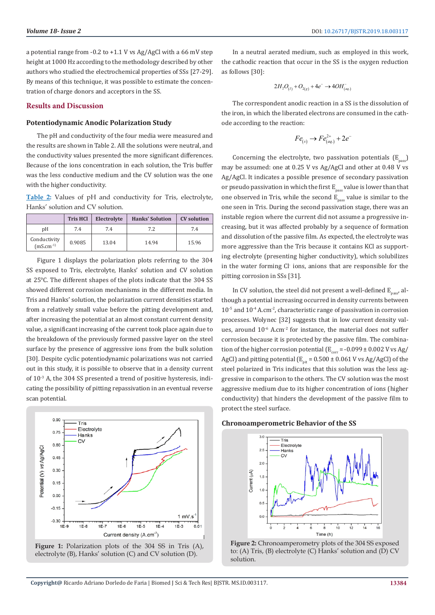a potential range from -0.2 to +1.1 V vs Ag/AgCl with a 66 mV step height at 1000 Hz according to the methodology described by other authors who studied the electrochemical properties of SSs [27-29]. By means of this technique, it was possible to estimate the concentration of charge donors and acceptors in the SS.

# **Results and Discussion**

#### **Potentiodynamic Anodic Polarization Study**

The pH and conductivity of the four media were measured and the results are shown in Table 2. All the solutions were neutral, and the conductivity values presented the more significant differences. Because of the ions concentration in each solution, the Tris buffer was the less conductive medium and the CV solution was the one with the higher conductivity.

**Table 2:** Values of pH and conductivity for Tris, electrolyte, Hanks' solution and CV solution.

|                                | <b>Tris HCI</b> | Electrolyte | <b>Hanks' Solution</b> | <b>CV</b> solution |
|--------------------------------|-----------------|-------------|------------------------|--------------------|
| pΗ                             | 7.4             | 7.4         | 7.2                    | 7.4                |
| Conductivity<br>$(mS.cm^{-1})$ | 0.9085          | 13.04       | 14.94                  | 15.96              |

Figure 1 displays the polarization plots referring to the 304 SS exposed to Tris, electrolyte, Hanks' solution and CV solution at 25°C. The different shapes of the plots indicate that the 304 SS showed different corrosion mechanisms in the different media. In Tris and Hanks' solution, the polarization current densities started from a relatively small value before the pitting development and, after increasing the potential at an almost constant current density value, a significant increasing of the current took place again due to the breakdown of the previously formed passive layer on the steel surface by the presence of aggressive ions from the bulk solution [30]. Despite cyclic potentiodynamic polarizations was not carried out in this study, it is possible to observe that in a density current of 10-3 A, the 304 SS presented a trend of positive hysteresis, indicating the possibility of pitting repassivation in an eventual reverse scan potential.





In a neutral aerated medium, such as employed in this work, the cathodic reaction that occur in the SS is the oxygen reduction as follows [30]:

$$
2H_2O_{(I)} + O_{2(g)} + 4e^- \rightarrow 4OH_{(aq)}^-
$$

The correspondent anodic reaction in a SS is the dissolution of the iron, in which the liberated electrons are consumed in the cathode according to the reaction:

$$
Fe_{(s)} \rightarrow Fe_{(aq)}^{2+} + 2e^{-}
$$

Concerning the electrolyte, two passivation potentials  $(E_{\text{max}})$ may be assumed: one at 0.25 V vs Ag/AgCl and other at 0.48 V vs Ag/AgCl. It indicates a possible presence of secondary passivation or pseudo passivation in which the first  $E_{\text{pases}}$  value is lower than that one observed in Tris, while the second  $\mathrm{E_{pass}}$  value is similar to the one seen in Tris. During the second passivation stage, there was an instable region where the current did not assume a progressive increasing, but it was affected probably by a sequence of formation and dissolution of the passive film. As expected, the electrolyte was more aggressive than the Tris because it contains KCl as supporting electrolyte (presenting higher conductivity), which solubilizes in the water forming Cl<sup>-</sup> ions, anions that are responsible for the pitting corrosion in SSs [31].

In CV solution, the steel did not present a well-defined  $E_{\text{pasc}}$  although a potential increasing occurred in density currents between  $10^{-5}$  and  $10^{-4}$  A.cm<sup>-2</sup>, characteristic range of passivation in corrosion processes. Wolynec [32] suggests that in low current density values, around 10<sup>-6</sup> A.cm<sup>-2</sup> for instance, the material does not suffer corrosion because it is protected by the passive film. The combination of the higher corrosion potential  $(E_{corr} = -0.099 \pm 0.002$  V vs Ag/ AgCl) and pitting potential ( $E_{\text{nit}}$  = 0.500 ± 0.061 V vs Ag/AgCl) of the steel polarized in Tris indicates that this solution was the less aggressive in comparison to the others. The CV solution was the most aggressive medium due to its higher concentration of ions (higher conductivity) that hinders the development of the passive film to protect the steel surface.

#### **Chronoamperometric Behavior of the SS**



**Figure 2:** Chronoamperometry plots of the 304 SS exposed to: (A) Tris, (B) electrolyte (C) Hanks' solution and (D) CV solution.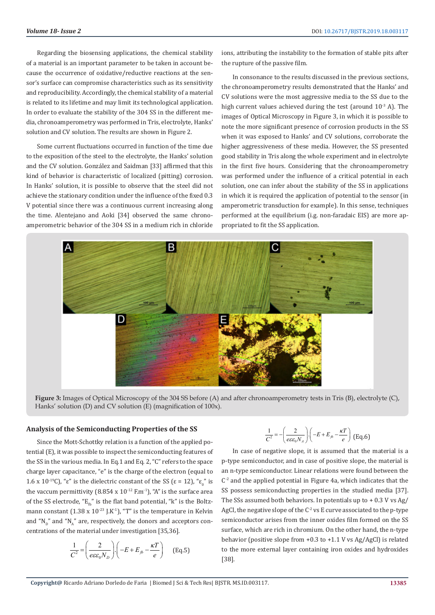Regarding the biosensing applications, the chemical stability of a material is an important parameter to be taken in account because the occurrence of oxidative/reductive reactions at the sensor's surface can compromise characteristics such as its sensitivity and reproducibility. Accordingly, the chemical stability of a material is related to its lifetime and may limit its technological application. In order to evaluate the stability of the 304 SS in the different media, chronoamperometry was performed in Tris, electrolyte, Hanks' solution and CV solution. The results are shown in Figure 2.

Some current fluctuations occurred in function of the time due to the exposition of the steel to the electrolyte, the Hanks' solution and the CV solution. González and Saidman [33] affirmed that this kind of behavior is characteristic of localized (pitting) corrosion. In Hanks' solution, it is possible to observe that the steel did not achieve the stationary condition under the influence of the fixed 0.3 V potential since there was a continuous current increasing along the time. Alentejano and Aoki [34] observed the same chronoamperometric behavior of the 304 SS in a medium rich in chloride

ions, attributing the instability to the formation of stable pits after the rupture of the passive film.

In consonance to the results discussed in the previous sections, the chronoamperometry results demonstrated that the Hanks' and CV solutions were the most aggressive media to the SS due to the high current values achieved during the test (around  $10^{-3}$  A). The images of Optical Microscopy in Figure 3, in which it is possible to note the more significant presence of corrosion products in the SS when it was exposed to Hanks' and CV solutions, corroborate the higher aggressiveness of these media. However, the SS presented good stability in Tris along the whole experiment and in electrolyte in the first five hours. Considering that the chronoamperometry was performed under the influence of a critical potential in each solution, one can infer about the stability of the SS in applications in which it is required the application of potential to the sensor (in amperometric transduction for example). In this sense, techniques performed at the equilibrium (i.g. non-faradaic EIS) are more appropriated to fit the SS application.



**Figure 3:** Images of Optical Microscopy of the 304 SS before (A) and after chronoamperometry tests in Tris (B), electrolyte (C), Hanks' solution (D) and CV solution (E) (magnification of 100x).

# **Analysis of the Semiconducting Properties of the SS**

Since the Mott-Schottky relation is a function of the applied potential (E), it was possible to inspect the semiconducting features of the SS in the various media. In Eq.1 and Eq. 2, "C" refers to the space charge layer capacitance, "e" is the charge of the electron (equal to 1.6 x 10<sup>-19</sup>C), "ε" is the dielectric constant of the SS (ε = 12), "ε<sub>0</sub>" is the vaccum permittivity  $(8.854 \times 10^{-12} \text{ F.m}^{-1})$ , "A" is the surface area of the SS electrode, " $E_{\theta}$ " is the flat band potential, "k" is the Boltzmann constant (1.38 x  $10^{-23}$  J.K<sup>-1</sup>), "T" is the temperature in Kelvin and "N<sub>n</sub>" and "N<sub>A</sub>" are, respectively, the donors and acceptors concentrations of the material under investigation [35,36].

$$
\frac{1}{C^2} = \left(\frac{2}{e\varepsilon\varepsilon_0 N_D}\right) \cdot \left(-E + E_{fb} - \frac{\kappa T}{e}\right) \quad \text{(Eq.5)}
$$

$$
\frac{1}{C^2} = -\left(\frac{2}{e\epsilon\epsilon_0 N_A}\right) \cdot \left(-E + E_{fb} - \frac{\kappa T}{e}\right) \text{ (Eq.6)}
$$

In case of negative slope, it is assumed that the material is a p-type semiconductor, and in case of positive slope, the material is an n-type semiconductor. Linear relations were found between the  $C<sup>2</sup>$  and the applied potential in Figure 4a, which indicates that the SS possess semiconducting properties in the studied media [37]. The SSs assumed both behaviors. In potentials up to  $+0.3$  V vs Ag/ AgCl, the negative slope of the  $C^2$  vs E curve associated to the p-type semiconductor arises from the inner oxides film formed on the SS surface, which are rich in chromium. On the other hand, the n-type behavior (positive slope from +0.3 to +1.1 V vs Ag/AgCl) is related to the more external layer containing iron oxides and hydroxides [38].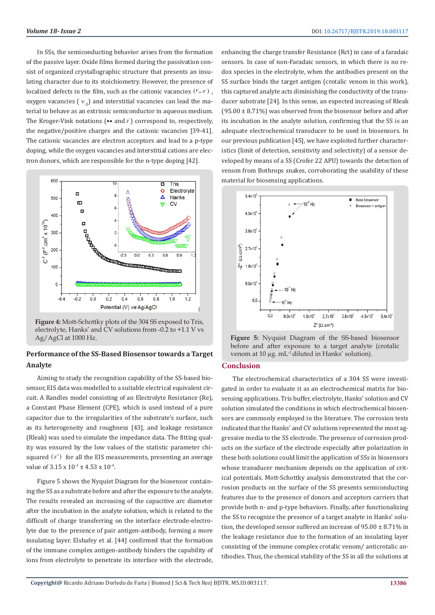In SSs, the semiconducting behavior arises from the formation of the passive layer. Oxide films formed during the passivation consist of organized crystallographic structure that presents an insulating character due to its stoichiometry. However, the presence of localized defects in the film, such as the cationic vacancies  $(V_M x)$ , oxygen vacancies ( $v<sub>o</sub>$ ) and interstitial vacancies can lead the material to behave as an extrinsic semiconductor in aqueous medium. The Kroger-Vink notations  $(\bullet \bullet$  and  $x)$  correspond to, respectively, the negative/positive charges and the cationic vacancies [39-41]. The cationic vacancies are electron acceptors and lead to a p-type doping, while the oxygen vacancies and interstitial cations are electron donors, which are responsible for the n-type doping [42].



**Figure 4:** Mott-Schottky plots of the 304 SS exposed to Tris, electrolyte, Hanks' and CV solutions from -0.2 to +1.1 V vs Ag/AgCl at 1000 Hz.

# **Performance of the SS-Based Biosensor towards a Target Analyte**

Aiming to study the recognition capability of the SS-based biosensor, EIS data was modelled to a suitable electrical equivalent circuit. A Randles model consisting of an Electrolyte Resistance (Re), a Constant Phase Element (CPE), which is used instead of a pure capacitor due to the irregularities of the substrate's surface, such as its heterogeneity and roughness [43], and leakage resistance (Rleak) was used to simulate the impedance data. The fitting quality was ensured by the low values of the statistic parameter chisquared  $(x^2)$  for all the EIS measurements, presenting an average value of  $3.15 \times 10^{-3} \pm 4.53 \times 10^{-4}$ .

Figure 5 shows the Nyquist Diagram for the biosensor containing the SS as a substrate before and after the exposure to the analyte. The results revealed an increasing of the capacitive arc diameter after the incubation in the analyte solution, which is related to the difficult of charge transferring on the interface electrode-electrolyte due to the presence of pair antigen-antibody, forming a more insulating layer. Elshafey et al. [44] confirmed that the formation of the immune complex antigen-antibody hinders the capability of ions from electrolyte to penetrate its interface with the electrode,

enhancing the charge transfer Resistance (Rct) in case of a faradaic sensors. In case of non-Faradaic sensors, in which there is no redox species in the electrolyte, when the antibodies present on the SS surface binds the target antigen (crotalic venom in this work), this captured analyte acts diminishing the conductivity of the transducer substrate [24]. In this sense, an expected increasing of Rleak  $(95.00 \pm 8.71\%)$  was observed from the biosensor before and after its incubation in the analyte solution, confirming that the SS is an adequate electrochemical transducer to be used in biosensors. In our previous publication [45], we have exploited further characteristics (limit of detection, sensitivity and selectivity) of a sensor developed by means of a SS (Crofer 22 APU) towards the detection of venom from Bothrops snakes, corroborating the usability of these material for biosensing applications.



**Figure 5:** Nyquist Diagram of the SS-based biosensor before and after exposure to a target analyte (crotalic venom at 10 µg. mL<sup>-1</sup> diluted in Hanks' solution).

# **Conclusion**

The electrochemical characteristics of a 304 SS were investigated in order to evaluate it as an electrochemical matrix for biosensing applications. Tris buffer, electrolyte, Hanks' solution and CV solution simulated the conditions in which electrochemical biosensors are commonly employed in the literature. The corrosion tests indicated that the Hanks' and CV solutions represented the most aggressive media to the SS electrode. The presence of corrosion products on the surface of the electrode especially after polarization in these both solutions could limit the application of SSs in biosensors whose transducer mechanism depends on the application of critical potentials. Mott-Schottky analysis demonstrated that the corrosion products on the surface of the SS presents semiconducting features due to the presence of donors and acceptors carriers that provide both n- and p-type behaviors. Finally, after functionalizing the SS to recognize the presence of a target analyte in Hanks' solution, the developed sensor suffered an increase of  $95.00 \pm 8.71\%$  in the leakage resistance due to the formation of an insulating layer consisting of the immune complex crotalic venom/ anticrotalic antibodies. Thus, the chemical stability of the SS in all the solutions at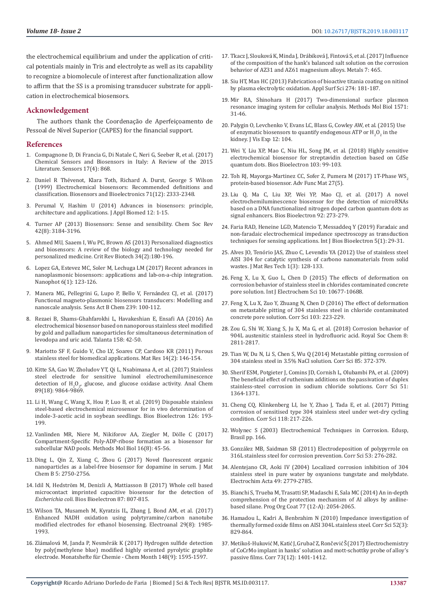the electrochemical equilibrium and under the application of critical potentials mainly in Tris and electrolyte as well as its capability to recognize a biomolecule of interest after functionalization allow to affirm that the SS is a promising transducer substrate for application in electrochemical biosensors.

# **Acknowledgement**

The authors thank the Coordenação de Aperfeiçoamento de Pessoal de Nível Superior (CAPES) for the financial support.

#### **References**

- 1. [Compagnone D, Di Francia G, Di Natale C, Neri G, Seeber R, et al. \(2017\)](https://www.ncbi.nlm.nih.gov/pmc/articles/PMC5424745/)  [Chemical Sensors and Biosensors in Italy: A Review of the 2015](https://www.ncbi.nlm.nih.gov/pmc/articles/PMC5424745/)  [Literature. Sensors 17\(4\): 868.](https://www.ncbi.nlm.nih.gov/pmc/articles/PMC5424745/)
- 2. [Daniel R Thévenot, Klara Toth, Richard A. Durst, George S Wilson](https://www.sciencedirect.com/science/article/pii/S0956566301001154)  [\(1999\) Electrochemical biosensors: Recommended definitions and](https://www.sciencedirect.com/science/article/pii/S0956566301001154)  [classification. Biosensors and Bioelectronics 71\(12\): 2333-2348.](https://www.sciencedirect.com/science/article/pii/S0956566301001154)
- 3. [Perumal V, Hashim U \(2014\) Advances in biosensors: principle,](https://www.sciencedirect.com/science/article/pii/S1214021X13000082)  [architecture and applications. J Appl Biomed 12: 1-15.](https://www.sciencedirect.com/science/article/pii/S1214021X13000082)
- 4. [Turner AP \(2013\) Biosensors: Sense and sensibility. Chem Soc Rev](https://www.ncbi.nlm.nih.gov/pubmed/23420144)  [42\(8\): 3184-3196.](https://www.ncbi.nlm.nih.gov/pubmed/23420144)
- 5. [Ahmed MU, Saaem I, Wu PC, Brown AS \(2013\) Personalized diagnostics](https://www.ncbi.nlm.nih.gov/pubmed/23607309)  [and biosensors: A review of the biology and technology needed for](https://www.ncbi.nlm.nih.gov/pubmed/23607309)  [personalized medicine. Crit Rev Biotech 34\(2\):180-196.](https://www.ncbi.nlm.nih.gov/pubmed/23607309)
- 6. [Lopez GA, Estevez MC, Soler M, Lechuga LM \(2017\) Recent advances in](https://www.degruyter.com/view/j/nanoph.2017.6.issue-1/nanoph-2016-0101/nanoph-2016-0101.xml)  [nanoplasmonic biosensors: applications and lab-on-a-chip integration.](https://www.degruyter.com/view/j/nanoph.2017.6.issue-1/nanoph-2016-0101/nanoph-2016-0101.xml)  [Nanophot 6\(1\): 123-126.](https://www.degruyter.com/view/j/nanoph.2017.6.issue-1/nanoph-2016-0101/nanoph-2016-0101.xml)
- 7. [Manera MG, Pellegrini G, Lupo P, Bello V, Fernández CJ, et al. \(2017\)](https://www.sciencedirect.com/science/article/pii/S0925400516311728)  [Functional magneto-plasmonic biosensors transducers: Modelling and](https://www.sciencedirect.com/science/article/pii/S0925400516311728)  [nanoscale analysis. Sens Act B Chem 239: 100-112.](https://www.sciencedirect.com/science/article/pii/S0925400516311728)
- 8. [Rezaei B, Shams-Ghahfarokhi L, Havakeshian E, Ensafi AA \(2016\) An](https://www.ncbi.nlm.nih.gov/pubmed/27343576)  [electrochemical biosensor based on nanoporous stainless steel modified](https://www.ncbi.nlm.nih.gov/pubmed/27343576)  [by gold and palladium nanoparticles for simultaneous determination of](https://www.ncbi.nlm.nih.gov/pubmed/27343576)  [levodopa and uric acid. Talanta 158: 42-50.](https://www.ncbi.nlm.nih.gov/pubmed/27343576)
- 9. [Mariotto SF F, Guido V, Cho LY, Soares CP, Cardoso KR \(2011\) Porous](http://www.scielo.br/scielo.php?script=sci_arttext&pid=S1516-14392011000200003)  [stainless steel for biomedical applications. Mat Res 14\(2\): 146-154.](http://www.scielo.br/scielo.php?script=sci_arttext&pid=S1516-14392011000200003)
- 10. [Kitte SA, Gao W, Zholudov YT, Qi L, Nsabimana A, et al. \(2017\) Stainless](https://pubs.acs.org/doi/abs/10.1021/acs.analchem.7b01939)  [steel electrode for sensitive luminol electrochemiluminescence](https://pubs.acs.org/doi/abs/10.1021/acs.analchem.7b01939)  detection of  $H_2O_{2'}$  glucose, and glucose oxidase activity. Anal Chem [89\(18\): 9864-9869.](https://pubs.acs.org/doi/abs/10.1021/acs.analchem.7b01939)
- 11. [Li H, Wang C, Wang X, Hou P, Luo B, et al. \(2019\) Disposable stainless](https://www.sciencedirect.com/science/article/pii/S0956566318308522)  [steel-based electrochemical microsensor for in vivo determination of](https://www.sciencedirect.com/science/article/pii/S0956566318308522)  [indole-3-acetic acid in soybean seedlings. Bios Bioelectron 126: 193-](https://www.sciencedirect.com/science/article/pii/S0956566318308522) [199.](https://www.sciencedirect.com/science/article/pii/S0956566318308522)
- 12. [Vanlinden MR, Niere M, Nikiforov AA, Ziegler M, Dölle C \(2017\)](https://www.ncbi.nlm.nih.gov/pubmed/28695502)  [Compartment-Specific Poly-ADP-ribose formation as a biosensor for](https://www.ncbi.nlm.nih.gov/pubmed/28695502)  [subcellular NAD pools. Methods Mol Biol 16\(8\): 45-56.](https://www.ncbi.nlm.nih.gov/pubmed/28695502)
- 13. [Ding L, Qin Z, Xiang C, Zhou G \(2017\) Novel fluorescent organic](https://pubs.rsc.org/en/content/articlelanding/2017/tb/c6tb03077g)  [nanoparticles as a label-free biosensor for dopamine in serum. J Mat](https://pubs.rsc.org/en/content/articlelanding/2017/tb/c6tb03077g)  [Chem B 5: 2750-2756.](https://pubs.rsc.org/en/content/articlelanding/2017/tb/c6tb03077g)
- 14. [Idil N, Hedström M, Denizli A, Mattiasson B \(2017\) Whole cell based](https://www.ncbi.nlm.nih.gov/pubmed/27657842)  [microcontact imprinted capacitive biosensor for the detection of](https://www.ncbi.nlm.nih.gov/pubmed/27657842)  *Escherichia coli*[. Bios Bioelectron 87: 807-815.](https://www.ncbi.nlm.nih.gov/pubmed/27657842)
- 15. [Wilson TA, Musameh M, Kyratzis IL, Zhang J, Bond AM, et al. \(2017\)](https://onlinelibrary.wiley.com/doi/abs/10.1002/elan.201700146)  [Enhanced NADH oxidation using polytyramine/carbon nanotube](https://onlinelibrary.wiley.com/doi/abs/10.1002/elan.201700146)  [modified electrodes for ethanol biosensing. Electroanal 29\(8\): 1985-](https://onlinelibrary.wiley.com/doi/abs/10.1002/elan.201700146) [1993.](https://onlinelibrary.wiley.com/doi/abs/10.1002/elan.201700146)
- 16. Zlámalov[á M, Janda P, Nesměrák K \(2017\) Hydrogen sulfide detection](https://link.springer.com/article/10.1007/s00706-017-1996-7)  [by poly\(methylene blue\) modified highly oriented pyrolytic graphite](https://link.springer.com/article/10.1007/s00706-017-1996-7)  [electrode. Monatshefte für Chemie - Chem Month 148\(9\): 1595-1597.](https://link.springer.com/article/10.1007/s00706-017-1996-7)
- 17. [Tkacz J, Slouková K, Minda J, Drábiková J, Fintová S, et al. \(2017\) Influence](https://www.mdpi.com/2075-4701/7/11/465) [of the composition of the hank's balanced salt solution on the corrosion](https://www.mdpi.com/2075-4701/7/11/465) [behavior of AZ31 and AZ61 magnesium alloys. Metals 7: 465.](https://www.mdpi.com/2075-4701/7/11/465)
- 18. [Siu HT, Man HC \(2013\) Fabrication of bioactive titania coating on nitinol](https://www.sciencedirect.com/science/article/pii/S0169433213004753) [by plasma electrolytic oxidation. Appl Surf Sci 274: 181-187.](https://www.sciencedirect.com/science/article/pii/S0169433213004753)
- 19. [Mir RA, Shinohara H \(2017\) Two-dimensional surface plasmon](https://www.ncbi.nlm.nih.gov/pubmed/28281248) [resonance imaging system for cellular analysis. Methods Mol Biol 1571:](https://www.ncbi.nlm.nih.gov/pubmed/28281248) [31-46.](https://www.ncbi.nlm.nih.gov/pubmed/28281248)
- 20. [Palygin O, Levchenko V, Evans LC, Blass G, Cowley AW, et al. \(2015\) Use](https://www.ncbi.nlm.nih.gov/pubmed/26485400)  of enzymatic biosensors to quantify endogenous ATP or  $H_2O_2$  in the [kidney. J Vis Exp 12: 104.](https://www.ncbi.nlm.nih.gov/pubmed/26485400)
- 21. [Wei Y, Liu XP, Mao C, Niu HL, Song JM, et al. \(2018\) Highly sensitive](https://www.ncbi.nlm.nih.gov/pubmed/29288884) [electrochemical biosensor for streptavidin detection based on CdSe](https://www.ncbi.nlm.nih.gov/pubmed/29288884) [quantum dots. Bios Bioelectron 103: 99-103.](https://www.ncbi.nlm.nih.gov/pubmed/29288884)
- 22. [Toh RJ, Mayorga-Martinez CC, Sofer Z, Pumera M \(2017\) 1T-Phase WS](https://onlinelibrary.wiley.com/doi/abs/10.1002/adfm.201604923). [protein-based biosensor. Adv Func Mat 27\(5\).](https://onlinelibrary.wiley.com/doi/abs/10.1002/adfm.201604923)
- 23. [Liu Q, Ma C, Liu XP, Wei YP, Mao CJ, et al. \(2017\) A novel](https://www.ncbi.nlm.nih.gov/pubmed/28235734) [electrochemiluminescence biosensor for the detection of microRNAs](https://www.ncbi.nlm.nih.gov/pubmed/28235734) [based on a DNA functionalized nitrogen doped carbon quantum dots as](https://www.ncbi.nlm.nih.gov/pubmed/28235734) [signal enhancers. Bios Bioelectron 92: 273-279.](https://www.ncbi.nlm.nih.gov/pubmed/28235734)
- 24. [Faria RAD, Heneine LGD, Matencio T, Messaddeq Y \(2019\) Faradaic and](https://medcraveonline.com/IJBSBE/IJBSBE-05-00148.pdf) [non-faradaic electrochemical impedance spectroscopy as transduction](https://medcraveonline.com/IJBSBE/IJBSBE-05-00148.pdf) [techniques for sensing applications. Int J Bios Bioelectron 5\(1\): 29-31](https://medcraveonline.com/IJBSBE/IJBSBE-05-00148.pdf).
- 25. [Alves JO, Tenório JAS, Zhuo C, Levendis YA \(2012\) Use of stainless steel](https://www.sciencedirect.com/science/article/pii/S2238785412700236) [AISI 304 for catalytic synthesis of carbono nanomaterials from solid](https://www.sciencedirect.com/science/article/pii/S2238785412700236) [wastes. J Mat Res Tech 1\(3\): 128-133.](https://www.sciencedirect.com/science/article/pii/S2238785412700236)
- 26. [Feng X, Lu X, Guo L, Chen D \(2015\) The effects of deformation on](http://www.electrochemsci.org/papers/vol10/101210677.pdf) [corrosion behavior of stainless steel in chlorides contaminated concrete](http://www.electrochemsci.org/papers/vol10/101210677.pdf) [pore solution. Int J Electrochem Sci 10: 10677-10688.](http://www.electrochemsci.org/papers/vol10/101210677.pdf)
- 27. [Feng X, Lu X, Zuo Y, Zhuang N, Chen D \(2016\) The effect of deformation](https://www.sciencedirect.com/science/article/pii/S0010938X15301633) [on metastable pitting of 304 stainless steel in chloride contaminated](https://www.sciencedirect.com/science/article/pii/S0010938X15301633) [concrete pore solution. Corr Sci 103: 223-229.](https://www.sciencedirect.com/science/article/pii/S0010938X15301633)
- 28. [Zou G, Shi W, Xiang S, Ju X, Ma G, et al. \(2018\) Corrosion behavior of](https://pubs.rsc.org/en/content/articlehtml/2018/ra/c7ra12453h) [904L austenitic stainless steel in hydrofluoric acid. Royal Soc Chem 8:](https://pubs.rsc.org/en/content/articlehtml/2018/ra/c7ra12453h) [2811-2817.](https://pubs.rsc.org/en/content/articlehtml/2018/ra/c7ra12453h)
- 29. [Tian W, Du N, Li S, Chen S, Wu Q \(2014\) Metastable pitting corrosion of](https://www.sciencedirect.com/science/article/pii/S0010938X14002042) [304 stainless steel in 3.5% NaCl solution. Corr Sci 85: 372-379.](https://www.sciencedirect.com/science/article/pii/S0010938X14002042)
- 30. [Sherif ESM, Potgieter J, Comins JD, Cornish L, Olubambi PA, et al. \(2009\)](https://www.sciencedirect.com/science/article/pii/S0010938X09001267) [The beneficial effect of ruthenium additions on the passivation of duplex](https://www.sciencedirect.com/science/article/pii/S0010938X09001267) [stainless-steel corrosion in sodium chloride solutions. Corr Sci 51:](https://www.sciencedirect.com/science/article/pii/S0010938X09001267) [1364-1371.](https://www.sciencedirect.com/science/article/pii/S0010938X09001267)
- 31. [Cheng CQ, Klinkenberg LI, Ise Y, Zhao J, Tada E, et al. \(2017\) Pitting](https://www.sciencedirect.com/science/article/pii/S0010938X16307958) [corrosion of sensitised type 304 stainless steel under wet-dry cycling](https://www.sciencedirect.com/science/article/pii/S0010938X16307958) [condition. Corr Sci 118: 217-226.](https://www.sciencedirect.com/science/article/pii/S0010938X16307958)
- 32. Wolynec S (2003) Electrochemical Techniques in Corrosion. Edusp, Brasil pp. 166.
- 33. [González MB, Saidman SB \(2011\) Electrodeposition of polypyrrole on](https://www.sciencedirect.com/science/article/pii/S0010938X1000452X) [316L stainless steel for corrosion prevention. Corr Sci 53: 276-282.](https://www.sciencedirect.com/science/article/pii/S0010938X1000452X)
- 34. [Alentejano CR, Aoki IV \(2004\) Localized corrosion inhibition of 304](https://www.sciencedirect.com/science/article/pii/S0013468604002452) [stainless steel in pure water by oxyanions tungstate and molybdate.](https://www.sciencedirect.com/science/article/pii/S0013468604002452) [Electrochim Acta 49: 2779-2785.](https://www.sciencedirect.com/science/article/pii/S0013468604002452)
- 35. [Bianchi S, Trueba M, Trasatti SP, Madaschi E, Sala MC \(2014\) An in-depth](https://www.researchgate.net/publication/260806668_An_in-depth_comprehension_of_the_protection_mechanism_of_Al_alloys_by_aniline-based_silane) [comprehension of the protection mechanism of Al alloys by aniline](https://www.researchgate.net/publication/260806668_An_in-depth_comprehension_of_the_protection_mechanism_of_Al_alloys_by_aniline-based_silane)[based silane. Prog Org Coat 77 \(12-A\): 2054-2065.](https://www.researchgate.net/publication/260806668_An_in-depth_comprehension_of_the_protection_mechanism_of_Al_alloys_by_aniline-based_silane)
- 36. [Hamadou L, Kadri A, Benbrahim N \(2010\) Impedance investigation of](https://www.sciencedirect.com/science/article/pii/S0010938X09005563) [thermally formed oxide films on AISI 304L stainless steel. Corr Sci 52\(3\):](https://www.sciencedirect.com/science/article/pii/S0010938X09005563) [829-864.](https://www.sciencedirect.com/science/article/pii/S0010938X09005563)
- 37. [Metikoš-Huković M, Katić J, Grubač Z, Rončević Š \(2017\) Electrochemistry](https://corrosionjournal.org/doi/10.5006/2522) [of CoCrMo implant in hanks' solution and mott-schottky probe of alloy's](https://corrosionjournal.org/doi/10.5006/2522) [passive films. Corr 73\(12\): 1401-1412.](https://corrosionjournal.org/doi/10.5006/2522)